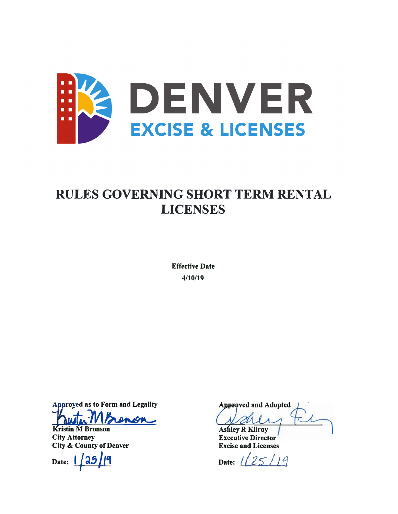

# **RULES GOVERNING SHORT TERM RENTAL LICENSES**

**Effective Date** 4/10/19

**Approved as to Form and Legality** enior

**Kristin M Bronson City Attorney City & County of Denver** 

Date:

**Approved and Adopted Ashley R Kilroy** 

**Executive Director Excise and Licenses** 

Date:  $1/25/19$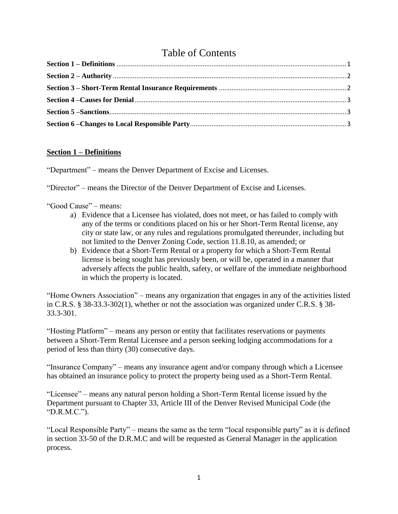# Table of Contents

# <span id="page-1-0"></span>**Section 1 – Definitions**

"Department" – means the Denver Department of Excise and Licenses.

"Director" – means the Director of the Denver Department of Excise and Licenses.

"Good Cause" – means:

- a) Evidence that a Licensee has violated, does not meet, or has failed to comply with any of the terms or conditions placed on his or her Short-Term Rental license, any city or state law, or any rules and regulations promulgated thereunder, including but not limited to the Denver Zoning Code, section 11.8.10, as amended; or
- b) Evidence that a Short-Term Rental or a property for which a Short-Term Rental license is being sought has previously been, or will be, operated in a manner that adversely affects the public health, safety, or welfare of the immediate neighborhood in which the property is located.

"Home Owners Association" – means any organization that engages in any of the activities listed in C.R.S. § 38-33.3-302(1), whether or not the association was organized under C.R.S. § 38- 33.3-301.

"Hosting Platform" – means any person or entity that facilitates reservations or payments between a Short-Term Rental Licensee and a person seeking lodging accommodations for a period of less than thirty (30) consecutive days.

"Insurance Company" – means any insurance agent and/or company through which a Licensee has obtained an insurance policy to protect the property being used as a Short-Term Rental.

"Licensee" – means any natural person holding a Short-Term Rental license issued by the Department pursuant to Chapter 33, Article III of the Denver Revised Municipal Code (the "D.R.M.C.").

"Local Responsible Party" – means the same as the term "local responsible party" as it is defined in section 33-50 of the D.R.M.C and will be requested as General Manager in the application process.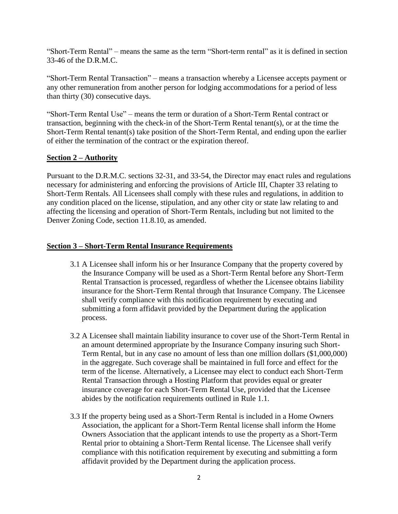"Short-Term Rental" – means the same as the term "Short-term rental" as it is defined in section 33-46 of the D.R.M.C.

"Short-Term Rental Transaction" – means a transaction whereby a Licensee accepts payment or any other remuneration from another person for lodging accommodations for a period of less than thirty (30) consecutive days.

"Short-Term Rental Use" – means the term or duration of a Short-Term Rental contract or transaction, beginning with the check-in of the Short-Term Rental tenant(s), or at the time the Short-Term Rental tenant(s) take position of the Short-Term Rental, and ending upon the earlier of either the termination of the contract or the expiration thereof.

## <span id="page-2-0"></span>**Section 2 – Authority**

Pursuant to the D.R.M.C. sections 32-31, and 33-54, the Director may enact rules and regulations necessary for administering and enforcing the provisions of Article III, Chapter 33 relating to Short-Term Rentals. All Licensees shall comply with these rules and regulations, in addition to any condition placed on the license, stipulation, and any other city or state law relating to and affecting the licensing and operation of Short-Term Rentals, including but not limited to the Denver Zoning Code, section 11.8.10, as amended.

### <span id="page-2-1"></span>**Section 3 – Short-Term Rental Insurance Requirements**

- 3.1 A Licensee shall inform his or her Insurance Company that the property covered by the Insurance Company will be used as a Short-Term Rental before any Short-Term Rental Transaction is processed, regardless of whether the Licensee obtains liability insurance for the Short-Term Rental through that Insurance Company. The Licensee shall verify compliance with this notification requirement by executing and submitting a form affidavit provided by the Department during the application process.
- 3.2 A Licensee shall maintain liability insurance to cover use of the Short-Term Rental in an amount determined appropriate by the Insurance Company insuring such Short-Term Rental, but in any case no amount of less than one million dollars (\$1,000,000) in the aggregate. Such coverage shall be maintained in full force and effect for the term of the license. Alternatively, a Licensee may elect to conduct each Short-Term Rental Transaction through a Hosting Platform that provides equal or greater insurance coverage for each Short-Term Rental Use, provided that the Licensee abides by the notification requirements outlined in Rule 1.1.
- 3.3 If the property being used as a Short-Term Rental is included in a Home Owners Association, the applicant for a Short-Term Rental license shall inform the Home Owners Association that the applicant intends to use the property as a Short-Term Rental prior to obtaining a Short-Term Rental license. The Licensee shall verify compliance with this notification requirement by executing and submitting a form affidavit provided by the Department during the application process.